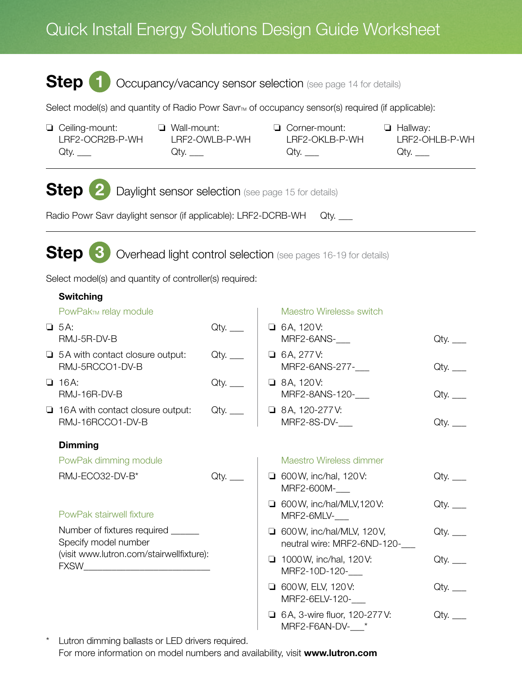## Quick Install Energy Solutions Design Guide Worksheet

## Step 1 Occupancy/vacancy sensor selection (see page 14 for details)

Select model(s) and quantity of Radio Powr Savr<sub>M</sub> of occupancy sensor(s) required (if applicable):

- ❏ Ceiling-mount: LRF2-OCR2B-P-WH  $Qty.$
- ❏ Wall-mount: LRF2-OWLB-P-WH  $Qty.$
- ❏ Corner-mount: LRF2-OKLB-P-WH  $Qty.$
- ❏ Hallway: LRF2-OHLB-P-WH  $Q$ ty.  $\_\_$

Step 2 Daylight sensor selection (see page 15 for details)

Radio Powr Savr daylight sensor (if applicable): LRF2-DCRB-WH Qty. \_\_

Step 3 Overhead light control selection (see pages 16-19 for details)

Select model(s) and quantity of controller(s) required:

| <b>Switching</b>                                            |      |                                                                  |         |
|-------------------------------------------------------------|------|------------------------------------------------------------------|---------|
| PowPak <sub>TM</sub> relay module                           |      | Maestro Wireless <sup>®</sup> switch                             |         |
| $\Box$ 5A:<br>RMJ-5R-DV-B                                   |      | $\Box$ 6A, 120V:<br>MRF2-6ANS-                                   | Qty.    |
| $\Box$ 5A with contact closure output:<br>RMJ-5RCCO1-DV-B   | Qty. | $\Box$ 6A, 277V:<br>MRF2-6ANS-277-                               |         |
| $\Box$ 16A:<br>RMJ-16R-DV-B                                 |      | $\Box$ 8A, 120V:<br>MRF2-8ANS-120-                               | $Qty$ . |
| $\Box$ 16A with contact closure output:<br>RMJ-16RCCO1-DV-B | Qty. | $\Box$ 8A, 120-277V:<br>MRF2-8S-DV-__                            | Qty.    |
| <b>Dimming</b>                                              |      |                                                                  |         |
| PowPak dimming module                                       |      | Maestro Wireless dimmer                                          |         |
| RMJ-ECO32-DV-B*                                             | Qty. | $\Box$ 600 W, inc/hal, 120 V:<br>MRF2-600M-___                   |         |
| PowPak stairwell fixture                                    |      | □ 600W, inc/hal/MLV, 120V:<br>MRF2-6MLV-___                      | Qty.    |
| Number of fixtures required<br>Specify model number         |      | $\Box$ 600 W, inc/hal/MLV, 120 V,<br>neutral wire: MRF2-6ND-120- |         |
| (visit www.lutron.com/stairwellfixture):                    |      | 1000 W, inc/hal, 120 V:<br>MRF2-10D-120-                         | Qty.    |
|                                                             |      | <b>0</b> 600 W, ELV, 120 V:<br>MRF2-6ELV-120-                    |         |
|                                                             |      | □ 6A, 3-wire fluor, 120-277V:<br>MRF2-F6AN-DV- *                 | Qty.    |

\* Lutron dimming ballasts or LED drivers required. For more information on model numbers and availability, visit www.lutron.com